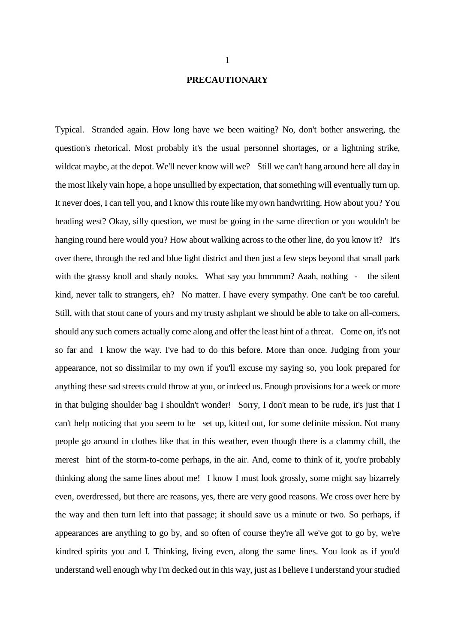## **PRECAUTIONARY**

Typical. Stranded again. How long have we been waiting? No, don't bother answering, the question's rhetorical. Most probably it's the usual personnel shortages, or a lightning strike, wildcat maybe, at the depot. We'll never know will we? Still we can't hang around here all day in the most likely vain hope, a hope unsullied by expectation, that something will eventually turn up. It never does, I can tell you, and I know this route like my own handwriting. How about you? You heading west? Okay, silly question, we must be going in the same direction or you wouldn't be hanging round here would you? How about walking across to the other line, do you know it? It's over there, through the red and blue light district and then just a few steps beyond that small park with the grassy knoll and shady nooks. What say you hmmmm? Aaah, nothing - the silent kind, never talk to strangers, eh? No matter. I have every sympathy. One can't be too careful. Still, with that stout cane of yours and my trusty ashplant we should be able to take on all-comers, should any such comers actually come along and offer the least hint of a threat. Come on, it's not so far and I know the way. I've had to do this before. More than once. Judging from your appearance, not so dissimilar to my own if you'll excuse my saying so, you look prepared for anything these sad streets could throw at you, or indeed us. Enough provisions for a week or more in that bulging shoulder bag I shouldn't wonder! Sorry, I don't mean to be rude, it's just that I can't help noticing that you seem to be set up, kitted out, for some definite mission. Not many people go around in clothes like that in this weather, even though there is a clammy chill, the merest hint of the storm-to-come perhaps, in the air. And, come to think of it, you're probably thinking along the same lines about me! I know I must look grossly, some might say bizarrely even, overdressed, but there are reasons, yes, there are very good reasons. We cross over here by the way and then turn left into that passage; it should save us a minute or two. So perhaps, if appearances are anything to go by, and so often of course they're all we've got to go by, we're kindred spirits you and I. Thinking, living even, along the same lines. You look as if you'd understand well enough why I'm decked out in this way, just as I believe I understand your studied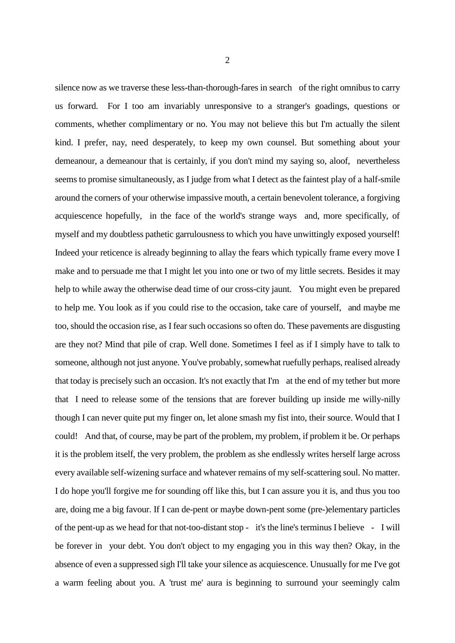silence now as we traverse these less-than-thorough-fares in search of the right omnibus to carry us forward. For I too am invariably unresponsive to a stranger's goadings, questions or comments, whether complimentary or no. You may not believe this but I'm actually the silent kind. I prefer, nay, need desperately, to keep my own counsel. But something about your demeanour, a demeanour that is certainly, if you don't mind my saying so, aloof, nevertheless seems to promise simultaneously, as I judge from what I detect as the faintest play of a half-smile around the corners of your otherwise impassive mouth, a certain benevolent tolerance, a forgiving acquiescence hopefully, in the face of the world's strange ways and, more specifically, of myself and my doubtless pathetic garrulousness to which you have unwittingly exposed yourself! Indeed your reticence is already beginning to allay the fears which typically frame every move I make and to persuade me that I might let you into one or two of my little secrets. Besides it may help to while away the otherwise dead time of our cross-city jaunt. You might even be prepared to help me. You look as if you could rise to the occasion, take care of yourself, and maybe me too, should the occasion rise, as I fear such occasions so often do. These pavements are disgusting are they not? Mind that pile of crap. Well done. Sometimes I feel as if I simply have to talk to someone, although not just anyone. You've probably, somewhat ruefully perhaps, realised already that today is precisely such an occasion. It's not exactly that I'm at the end of my tether but more that I need to release some of the tensions that are forever building up inside me willy-nilly though I can never quite put my finger on, let alone smash my fist into, their source. Would that I could! And that, of course, may be part of the problem, my problem, if problem it be. Or perhaps it is the problem itself, the very problem, the problem as she endlessly writes herself large across every available self-wizening surface and whatever remains of my self-scattering soul. No matter. I do hope you'll forgive me for sounding off like this, but I can assure you it is, and thus you too are, doing me a big favour. If I can de-pent or maybe down-pent some (pre-)elementary particles of the pent-up as we head for that not-too-distant stop - it's the line's terminus I believe - I will be forever in your debt. You don't object to my engaging you in this way then? Okay, in the absence of even a suppressed sigh I'll take your silence as acquiescence. Unusually for me I've got a warm feeling about you. A 'trust me' aura is beginning to surround your seemingly calm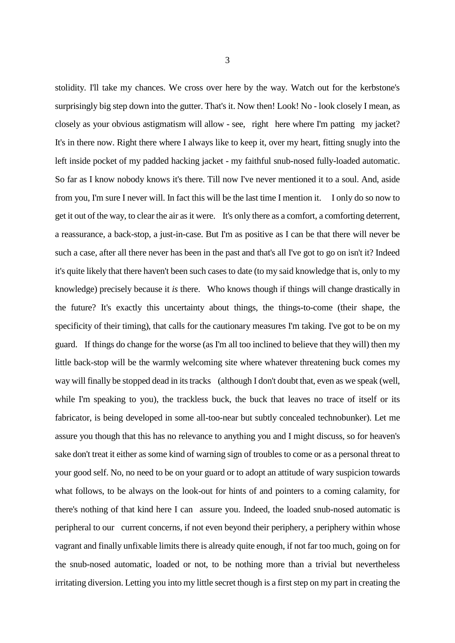stolidity. I'll take my chances. We cross over here by the way. Watch out for the kerbstone's surprisingly big step down into the gutter. That's it. Now then! Look! No - look closely I mean, as closely as your obvious astigmatism will allow - see, right here where I'm patting my jacket? It's in there now. Right there where I always like to keep it, over my heart, fitting snugly into the left inside pocket of my padded hacking jacket - my faithful snub-nosed fully-loaded automatic. So far as I know nobody knows it's there. Till now I've never mentioned it to a soul. And, aside from you, I'm sure I never will. In fact this will be the last time I mention it. I only do so now to get it out of the way, to clear the air as it were. It's only there as a comfort, a comforting deterrent, a reassurance, a back-stop, a just-in-case. But I'm as positive as I can be that there will never be such a case, after all there never has been in the past and that's all I've got to go on isn't it? Indeed it's quite likely that there haven't been such cases to date (to my said knowledge that is, only to my knowledge) precisely because it *is* there. Who knows though if things will change drastically in the future? It's exactly this uncertainty about things, the things-to-come (their shape, the specificity of their timing), that calls for the cautionary measures I'm taking. I've got to be on my guard. If things do change for the worse (as I'm all too inclined to believe that they will) then my little back-stop will be the warmly welcoming site where whatever threatening buck comes my way will finally be stopped dead in its tracks (although I don't doubt that, even as we speak (well, while I'm speaking to you), the trackless buck, the buck that leaves no trace of itself or its fabricator, is being developed in some all-too-near but subtly concealed technobunker). Let me assure you though that this has no relevance to anything you and I might discuss, so for heaven's sake don't treat it either as some kind of warning sign of troubles to come or as a personal threat to your good self. No, no need to be on your guard or to adopt an attitude of wary suspicion towards what follows, to be always on the look-out for hints of and pointers to a coming calamity, for there's nothing of that kind here I can assure you. Indeed, the loaded snub-nosed automatic is peripheral to our current concerns, if not even beyond their periphery, a periphery within whose vagrant and finally unfixable limits there is already quite enough, if not far too much, going on for the snub-nosed automatic, loaded or not, to be nothing more than a trivial but nevertheless

irritating diversion. Letting you into my little secret though is a first step on my part in creating the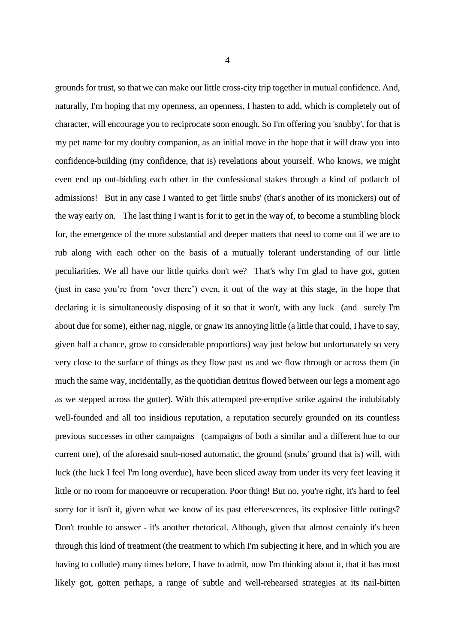grounds for trust, so that we can make our little cross-city trip together in mutual confidence. And, naturally, I'm hoping that my openness, an openness, I hasten to add, which is completely out of character, will encourage you to reciprocate soon enough. So I'm offering you 'snubby', for that is my pet name for my doubty companion, as an initial move in the hope that it will draw you into confidence-building (my confidence, that is) revelations about yourself. Who knows, we might even end up out-bidding each other in the confessional stakes through a kind of potlatch of admissions! But in any case I wanted to get 'little snubs' (that's another of its monickers) out of the way early on. The last thing I want is for it to get in the way of, to become a stumbling block for, the emergence of the more substantial and deeper matters that need to come out if we are to rub along with each other on the basis of a mutually tolerant understanding of our little peculiarities. We all have our little quirks don't we? That's why I'm glad to have got, gotten (just in case you're from 'over there') even, it out of the way at this stage, in the hope that declaring it is simultaneously disposing of it so that it won't, with any luck (and surely I'm about due for some), either nag, niggle, or gnaw its annoying little (a little that could, I have to say, given half a chance, grow to considerable proportions) way just below but unfortunately so very very close to the surface of things as they flow past us and we flow through or across them (in much the same way, incidentally, as the quotidian detritus flowed between our legs a moment ago as we stepped across the gutter). With this attempted pre-emptive strike against the indubitably well-founded and all too insidious reputation, a reputation securely grounded on its countless previous successes in other campaigns (campaigns of both a similar and a different hue to our current one), of the aforesaid snub-nosed automatic, the ground (snubs' ground that is) will, with luck (the luck I feel I'm long overdue), have been sliced away from under its very feet leaving it little or no room for manoeuvre or recuperation. Poor thing! But no, you're right, it's hard to feel sorry for it isn't it, given what we know of its past effervescences, its explosive little outings? Don't trouble to answer - it's another rhetorical. Although, given that almost certainly it's been through this kind of treatment (the treatment to which I'm subjecting it here, and in which you are having to collude) many times before, I have to admit, now I'm thinking about it, that it has most likely got, gotten perhaps, a range of subtle and well-rehearsed strategies at its nail-bitten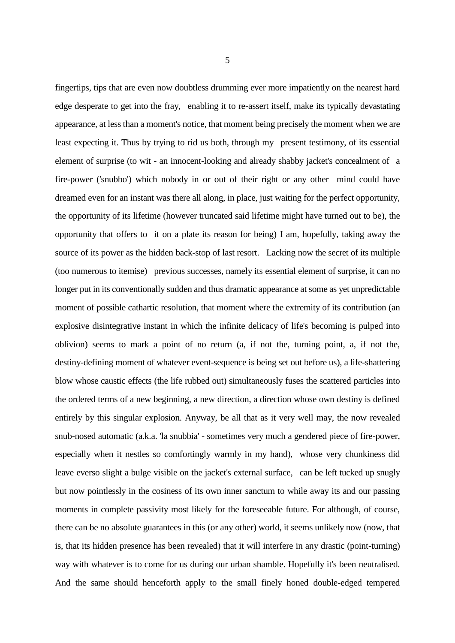fingertips, tips that are even now doubtless drumming ever more impatiently on the nearest hard edge desperate to get into the fray, enabling it to re-assert itself, make its typically devastating appearance, at less than a moment's notice, that moment being precisely the moment when we are least expecting it. Thus by trying to rid us both, through my present testimony, of its essential element of surprise (to wit - an innocent-looking and already shabby jacket's concealment of a fire-power ('snubbo') which nobody in or out of their right or any other mind could have dreamed even for an instant was there all along, in place, just waiting for the perfect opportunity, the opportunity of its lifetime (however truncated said lifetime might have turned out to be), the opportunity that offers to it on a plate its reason for being) I am, hopefully, taking away the source of its power as the hidden back-stop of last resort. Lacking now the secret of its multiple (too numerous to itemise) previous successes, namely its essential element of surprise, it can no longer put in its conventionally sudden and thus dramatic appearance at some as yet unpredictable moment of possible cathartic resolution, that moment where the extremity of its contribution (an explosive disintegrative instant in which the infinite delicacy of life's becoming is pulped into oblivion) seems to mark a point of no return (a, if not the, turning point, a, if not the, destiny-defining moment of whatever event-sequence is being set out before us), a life-shattering blow whose caustic effects (the life rubbed out) simultaneously fuses the scattered particles into the ordered terms of a new beginning, a new direction, a direction whose own destiny is defined entirely by this singular explosion. Anyway, be all that as it very well may, the now revealed snub-nosed automatic (a.k.a. 'la snubbia' - sometimes very much a gendered piece of fire-power, especially when it nestles so comfortingly warmly in my hand), whose very chunkiness did leave everso slight a bulge visible on the jacket's external surface, can be left tucked up snugly but now pointlessly in the cosiness of its own inner sanctum to while away its and our passing moments in complete passivity most likely for the foreseeable future. For although, of course, there can be no absolute guarantees in this (or any other) world, it seems unlikely now (now, that is, that its hidden presence has been revealed) that it will interfere in any drastic (point-turning) way with whatever is to come for us during our urban shamble. Hopefully it's been neutralised. And the same should henceforth apply to the small finely honed double-edged tempered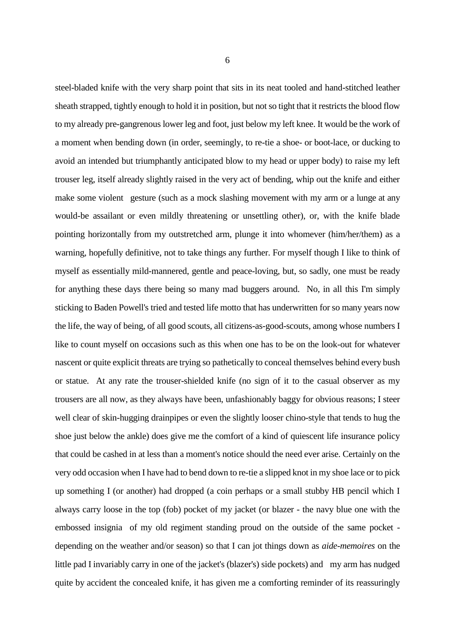steel-bladed knife with the very sharp point that sits in its neat tooled and hand-stitched leather sheath strapped, tightly enough to hold it in position, but not so tight that it restricts the blood flow to my already pre-gangrenous lower leg and foot, just below my left knee. It would be the work of a moment when bending down (in order, seemingly, to re-tie a shoe- or boot-lace, or ducking to avoid an intended but triumphantly anticipated blow to my head or upper body) to raise my left trouser leg, itself already slightly raised in the very act of bending, whip out the knife and either make some violent gesture (such as a mock slashing movement with my arm or a lunge at any would-be assailant or even mildly threatening or unsettling other), or, with the knife blade pointing horizontally from my outstretched arm, plunge it into whomever (him/her/them) as a warning, hopefully definitive, not to take things any further. For myself though I like to think of myself as essentially mild-mannered, gentle and peace-loving, but, so sadly, one must be ready for anything these days there being so many mad buggers around. No, in all this I'm simply sticking to Baden Powell's tried and tested life motto that has underwritten for so many years now the life, the way of being, of all good scouts, all citizens-as-good-scouts, among whose numbers I like to count myself on occasions such as this when one has to be on the look-out for whatever nascent or quite explicit threats are trying so pathetically to conceal themselves behind every bush or statue. At any rate the trouser-shielded knife (no sign of it to the casual observer as my trousers are all now, as they always have been, unfashionably baggy for obvious reasons; I steer well clear of skin-hugging drainpipes or even the slightly looser chino-style that tends to hug the shoe just below the ankle) does give me the comfort of a kind of quiescent life insurance policy that could be cashed in at less than a moment's notice should the need ever arise. Certainly on the very odd occasion when I have had to bend down to re-tie a slipped knot in my shoe lace or to pick up something I (or another) had dropped (a coin perhaps or a small stubby HB pencil which I always carry loose in the top (fob) pocket of my jacket (or blazer - the navy blue one with the embossed insignia of my old regiment standing proud on the outside of the same pocket depending on the weather and/or season) so that I can jot things down as *aide-memoires* on the little pad I invariably carry in one of the jacket's (blazer's) side pockets) and my arm has nudged quite by accident the concealed knife, it has given me a comforting reminder of its reassuringly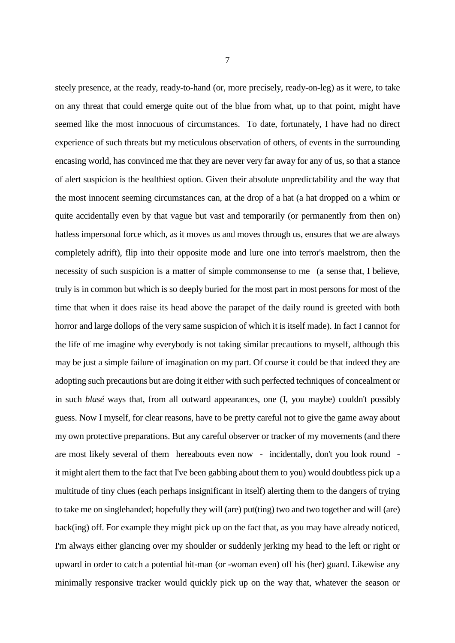steely presence, at the ready, ready-to-hand (or, more precisely, ready-on-leg) as it were, to take on any threat that could emerge quite out of the blue from what, up to that point, might have seemed like the most innocuous of circumstances. To date, fortunately, I have had no direct experience of such threats but my meticulous observation of others, of events in the surrounding encasing world, has convinced me that they are never very far away for any of us, so that a stance of alert suspicion is the healthiest option. Given their absolute unpredictability and the way that the most innocent seeming circumstances can, at the drop of a hat (a hat dropped on a whim or quite accidentally even by that vague but vast and temporarily (or permanently from then on) hatless impersonal force which, as it moves us and moves through us, ensures that we are always completely adrift), flip into their opposite mode and lure one into terror's maelstrom, then the necessity of such suspicion is a matter of simple commonsense to me (a sense that, I believe, truly is in common but which is so deeply buried for the most part in most persons for most of the time that when it does raise its head above the parapet of the daily round is greeted with both horror and large dollops of the very same suspicion of which it is itself made). In fact I cannot for the life of me imagine why everybody is not taking similar precautions to myself, although this may be just a simple failure of imagination on my part. Of course it could be that indeed they are adopting such precautions but are doing it either with such perfected techniques of concealment or in such *blasé* ways that, from all outward appearances, one (I, you maybe) couldn't possibly guess. Now I myself, for clear reasons, have to be pretty careful not to give the game away about my own protective preparations. But any careful observer or tracker of my movements (and there are most likely several of them hereabouts even now - incidentally, don't you look round it might alert them to the fact that I've been gabbing about them to you) would doubtless pick up a multitude of tiny clues (each perhaps insignificant in itself) alerting them to the dangers of trying to take me on singlehanded; hopefully they will (are) put(ting) two and two together and will (are) back(ing) off. For example they might pick up on the fact that, as you may have already noticed, I'm always either glancing over my shoulder or suddenly jerking my head to the left or right or upward in order to catch a potential hit-man (or -woman even) off his (her) guard. Likewise any minimally responsive tracker would quickly pick up on the way that, whatever the season or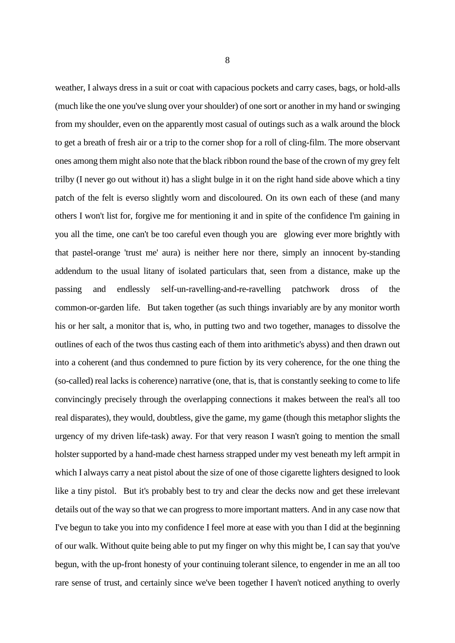weather, I always dress in a suit or coat with capacious pockets and carry cases, bags, or hold-alls (much like the one you've slung over your shoulder) of one sort or another in my hand or swinging from my shoulder, even on the apparently most casual of outings such as a walk around the block to get a breath of fresh air or a trip to the corner shop for a roll of cling-film. The more observant ones among them might also note that the black ribbon round the base of the crown of my grey felt trilby (I never go out without it) has a slight bulge in it on the right hand side above which a tiny patch of the felt is everso slightly worn and discoloured. On its own each of these (and many others I won't list for, forgive me for mentioning it and in spite of the confidence I'm gaining in you all the time, one can't be too careful even though you are glowing ever more brightly with that pastel-orange 'trust me' aura) is neither here nor there, simply an innocent by-standing addendum to the usual litany of isolated particulars that, seen from a distance, make up the passing and endlessly self-un-ravelling-and-re-ravelling patchwork dross of the common-or-garden life. But taken together (as such things invariably are by any monitor worth his or her salt, a monitor that is, who, in putting two and two together, manages to dissolve the outlines of each of the twos thus casting each of them into arithmetic's abyss) and then drawn out into a coherent (and thus condemned to pure fiction by its very coherence, for the one thing the (so-called) real lacks is coherence) narrative (one, that is, that is constantly seeking to come to life convincingly precisely through the overlapping connections it makes between the real's all too real disparates), they would, doubtless, give the game, my game (though this metaphor slights the urgency of my driven life-task) away. For that very reason I wasn't going to mention the small holster supported by a hand-made chest harness strapped under my vest beneath my left armpit in which I always carry a neat pistol about the size of one of those cigarette lighters designed to look like a tiny pistol. But it's probably best to try and clear the decks now and get these irrelevant details out of the way so that we can progress to more important matters. And in any case now that I've begun to take you into my confidence I feel more at ease with you than I did at the beginning of our walk. Without quite being able to put my finger on why this might be, I can say that you've begun, with the up-front honesty of your continuing tolerant silence, to engender in me an all too rare sense of trust, and certainly since we've been together I haven't noticed anything to overly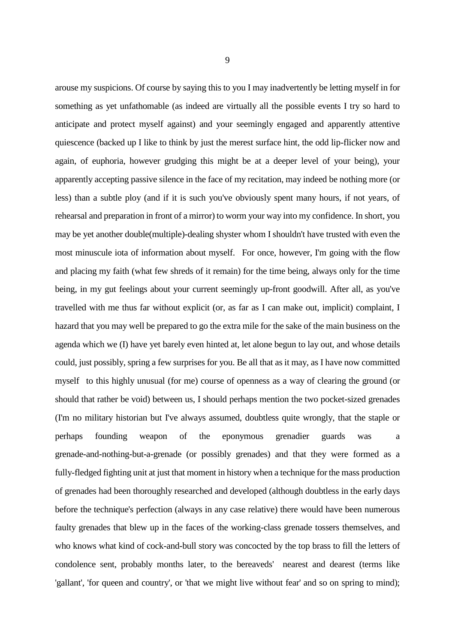arouse my suspicions. Of course by saying this to you I may inadvertently be letting myself in for something as yet unfathomable (as indeed are virtually all the possible events I try so hard to anticipate and protect myself against) and your seemingly engaged and apparently attentive quiescence (backed up I like to think by just the merest surface hint, the odd lip-flicker now and again, of euphoria, however grudging this might be at a deeper level of your being), your apparently accepting passive silence in the face of my recitation, may indeed be nothing more (or less) than a subtle ploy (and if it is such you've obviously spent many hours, if not years, of rehearsal and preparation in front of a mirror) to worm your way into my confidence. In short, you may be yet another double(multiple)-dealing shyster whom I shouldn't have trusted with even the most minuscule iota of information about myself. For once, however, I'm going with the flow and placing my faith (what few shreds of it remain) for the time being, always only for the time being, in my gut feelings about your current seemingly up-front goodwill. After all, as you've travelled with me thus far without explicit (or, as far as I can make out, implicit) complaint, I hazard that you may well be prepared to go the extra mile for the sake of the main business on the agenda which we (I) have yet barely even hinted at, let alone begun to lay out, and whose details could, just possibly, spring a few surprises for you. Be all that as it may, as I have now committed myself to this highly unusual (for me) course of openness as a way of clearing the ground (or should that rather be void) between us, I should perhaps mention the two pocket-sized grenades (I'm no military historian but I've always assumed, doubtless quite wrongly, that the staple or perhaps founding weapon of the eponymous grenadier guards was a grenade-and-nothing-but-a-grenade (or possibly grenades) and that they were formed as a fully-fledged fighting unit at just that moment in history when a technique for the mass production of grenades had been thoroughly researched and developed (although doubtless in the early days before the technique's perfection (always in any case relative) there would have been numerous faulty grenades that blew up in the faces of the working-class grenade tossers themselves, and who knows what kind of cock-and-bull story was concocted by the top brass to fill the letters of condolence sent, probably months later, to the bereaveds' nearest and dearest (terms like 'gallant', 'for queen and country', or 'that we might live without fear' and so on spring to mind);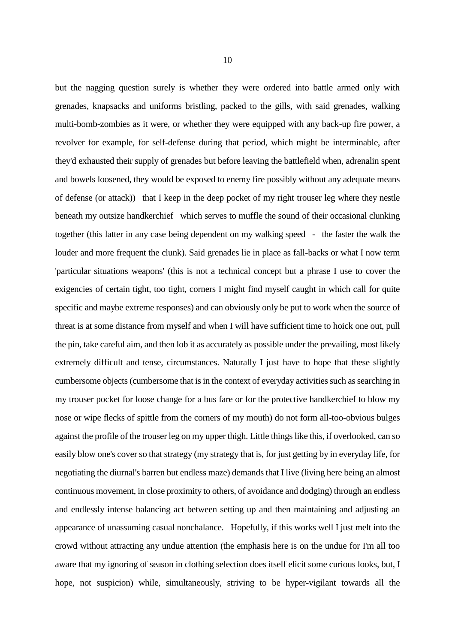but the nagging question surely is whether they were ordered into battle armed only with grenades, knapsacks and uniforms bristling, packed to the gills, with said grenades, walking multi-bomb-zombies as it were, or whether they were equipped with any back-up fire power, a revolver for example, for self-defense during that period, which might be interminable, after they'd exhausted their supply of grenades but before leaving the battlefield when, adrenalin spent and bowels loosened, they would be exposed to enemy fire possibly without any adequate means of defense (or attack)) that I keep in the deep pocket of my right trouser leg where they nestle beneath my outsize handkerchief which serves to muffle the sound of their occasional clunking together (this latter in any case being dependent on my walking speed - the faster the walk the louder and more frequent the clunk). Said grenades lie in place as fall-backs or what I now term 'particular situations weapons' (this is not a technical concept but a phrase I use to cover the exigencies of certain tight, too tight, corners I might find myself caught in which call for quite specific and maybe extreme responses) and can obviously only be put to work when the source of threat is at some distance from myself and when I will have sufficient time to hoick one out, pull the pin, take careful aim, and then lob it as accurately as possible under the prevailing, most likely extremely difficult and tense, circumstances. Naturally I just have to hope that these slightly cumbersome objects(cumbersome that is in the context of everyday activities such as searching in my trouser pocket for loose change for a bus fare or for the protective handkerchief to blow my nose or wipe flecks of spittle from the corners of my mouth) do not form all-too-obvious bulges against the profile of the trouser leg on my upper thigh. Little things like this, if overlooked, can so easily blow one's cover so that strategy (my strategy that is, for just getting by in everyday life, for negotiating the diurnal's barren but endless maze) demands that I live (living here being an almost continuous movement, in close proximity to others, of avoidance and dodging) through an endless and endlessly intense balancing act between setting up and then maintaining and adjusting an appearance of unassuming casual nonchalance. Hopefully, if this works well I just melt into the crowd without attracting any undue attention (the emphasis here is on the undue for I'm all too aware that my ignoring of season in clothing selection does itself elicit some curious looks, but, I hope, not suspicion) while, simultaneously, striving to be hyper-vigilant towards all the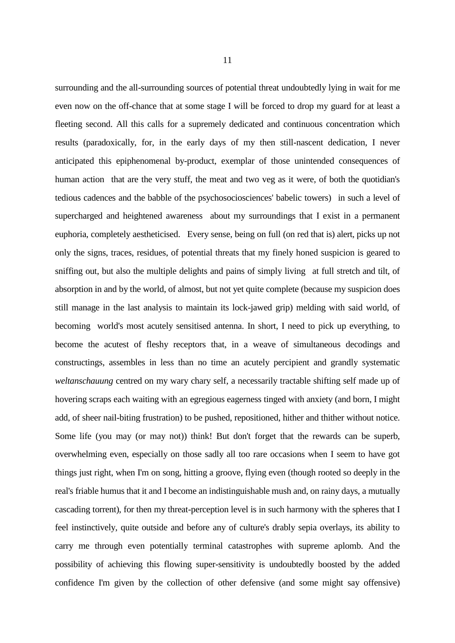surrounding and the all-surrounding sources of potential threat undoubtedly lying in wait for me even now on the off-chance that at some stage I will be forced to drop my guard for at least a fleeting second. All this calls for a supremely dedicated and continuous concentration which results (paradoxically, for, in the early days of my then still-nascent dedication, I never anticipated this epiphenomenal by-product, exemplar of those unintended consequences of human action that are the very stuff, the meat and two veg as it were, of both the quotidian's tedious cadences and the babble of the psychosociosciences' babelic towers) in such a level of supercharged and heightened awareness about my surroundings that I exist in a permanent euphoria, completely aestheticised. Every sense, being on full (on red that is) alert, picks up not only the signs, traces, residues, of potential threats that my finely honed suspicion is geared to sniffing out, but also the multiple delights and pains of simply living at full stretch and tilt, of absorption in and by the world, of almost, but not yet quite complete (because my suspicion does still manage in the last analysis to maintain its lock-jawed grip) melding with said world, of becoming world's most acutely sensitised antenna. In short, I need to pick up everything, to become the acutest of fleshy receptors that, in a weave of simultaneous decodings and constructings, assembles in less than no time an acutely percipient and grandly systematic *weltanschauung* centred on my wary chary self, a necessarily tractable shifting self made up of hovering scraps each waiting with an egregious eagerness tinged with anxiety (and born, I might add, of sheer nail-biting frustration) to be pushed, repositioned, hither and thither without notice. Some life (you may (or may not)) think! But don't forget that the rewards can be superb, overwhelming even, especially on those sadly all too rare occasions when I seem to have got things just right, when I'm on song, hitting a groove, flying even (though rooted so deeply in the real's friable humus that it and I become an indistinguishable mush and, on rainy days, a mutually cascading torrent), for then my threat-perception level is in such harmony with the spheres that I feel instinctively, quite outside and before any of culture's drably sepia overlays, its ability to carry me through even potentially terminal catastrophes with supreme aplomb. And the possibility of achieving this flowing super-sensitivity is undoubtedly boosted by the added confidence I'm given by the collection of other defensive (and some might say offensive)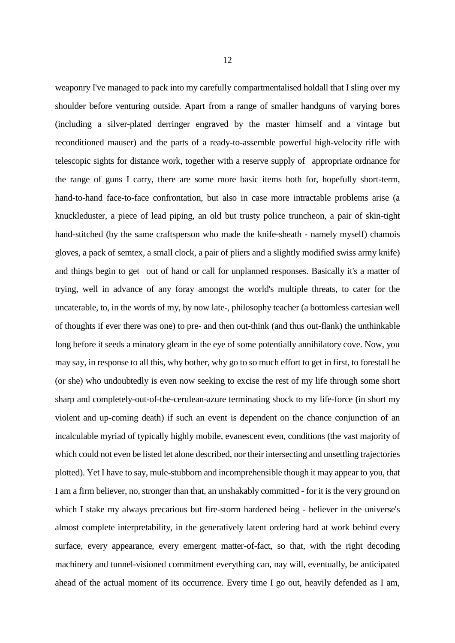weaponry I've managed to pack into my carefully compartmentalised holdall that I sling over my shoulder before venturing outside. Apart from a range of smaller handguns of varying bores (including a silver-plated derringer engraved by the master himself and a vintage but reconditioned mauser) and the parts of a ready-to-assemble powerful high-velocity rifle with telescopic sights for distance work, together with a reserve supply of appropriate ordnance for the range of guns I carry, there are some more basic items both for, hopefully short-term, hand-to-hand face-to-face confrontation, but also in case more intractable problems arise (a knuckleduster, a piece of lead piping, an old but trusty police truncheon, a pair of skin-tight hand-stitched (by the same craftsperson who made the knife-sheath - namely myself) chamois gloves, a pack of semtex, a small clock, a pair of pliers and a slightly modified swiss army knife) and things begin to get out of hand or call for unplanned responses. Basically it's a matter of trying, well in advance of any foray amongst the world's multiple threats, to cater for the uncaterable, to, in the words of my, by now late-, philosophy teacher (a bottomless cartesian well of thoughts if ever there was one) to pre- and then out-think (and thus out-flank) the unthinkable long before it seeds a minatory gleam in the eye of some potentially annihilatory cove. Now, you may say, in response to all this, why bother, why go to so much effort to get in first, to forestall he (or she) who undoubtedly is even now seeking to excise the rest of my life through some short sharp and completely-out-of-the-cerulean-azure terminating shock to my life-force (in short my violent and up-coming death) if such an event is dependent on the chance conjunction of an incalculable myriad of typically highly mobile, evanescent even, conditions (the vast majority of which could not even be listed let alone described, nor their intersecting and unsettling trajectories plotted). Yet I have to say, mule-stubborn and incomprehensible though it may appear to you, that I am a firm believer, no, stronger than that, an unshakably committed - for it is the very ground on which I stake my always precarious but fire-storm hardened being - believer in the universe's almost complete interpretability, in the generatively latent ordering hard at work behind every surface, every appearance, every emergent matter-of-fact, so that, with the right decoding machinery and tunnel-visioned commitment everything can, nay will, eventually, be anticipated ahead of the actual moment of its occurrence. Every time I go out, heavily defended as I am,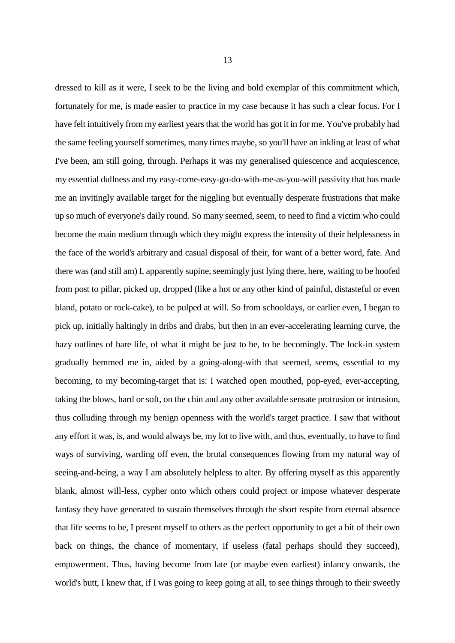dressed to kill as it were, I seek to be the living and bold exemplar of this commitment which, fortunately for me, is made easier to practice in my case because it has such a clear focus. For I have felt intuitively from my earliest years that the world has got it in for me. You've probably had the same feeling yourself sometimes, many times maybe, so you'll have an inkling at least of what I've been, am still going, through. Perhaps it was my generalised quiescence and acquiescence, my essential dullness and my easy-come-easy-go-do-with-me-as-you-will passivity that has made me an invitingly available target for the niggling but eventually desperate frustrations that make up so much of everyone's daily round. So many seemed, seem, to need to find a victim who could become the main medium through which they might express the intensity of their helplessness in the face of the world's arbitrary and casual disposal of their, for want of a better word, fate. And there was (and still am) I, apparently supine, seemingly just lying there, here, waiting to be hoofed from post to pillar, picked up, dropped (like a hot or any other kind of painful, distasteful or even bland, potato or rock-cake), to be pulped at will. So from schooldays, or earlier even, I began to pick up, initially haltingly in dribs and drabs, but then in an ever-accelerating learning curve, the hazy outlines of bare life, of what it might be just to be, to be becomingly. The lock-in system gradually hemmed me in, aided by a going-along-with that seemed, seems, essential to my becoming, to my becoming-target that is: I watched open mouthed, pop-eyed, ever-accepting, taking the blows, hard or soft, on the chin and any other available sensate protrusion or intrusion, thus colluding through my benign openness with the world's target practice. I saw that without any effort it was, is, and would always be, my lot to live with, and thus, eventually, to have to find ways of surviving, warding off even, the brutal consequences flowing from my natural way of seeing-and-being, a way I am absolutely helpless to alter. By offering myself as this apparently blank, almost will-less, cypher onto which others could project or impose whatever desperate fantasy they have generated to sustain themselves through the short respite from eternal absence that life seems to be, I present myself to others as the perfect opportunity to get a bit of their own back on things, the chance of momentary, if useless (fatal perhaps should they succeed), empowerment. Thus, having become from late (or maybe even earliest) infancy onwards, the world's butt, I knew that, if I was going to keep going at all, to see things through to their sweetly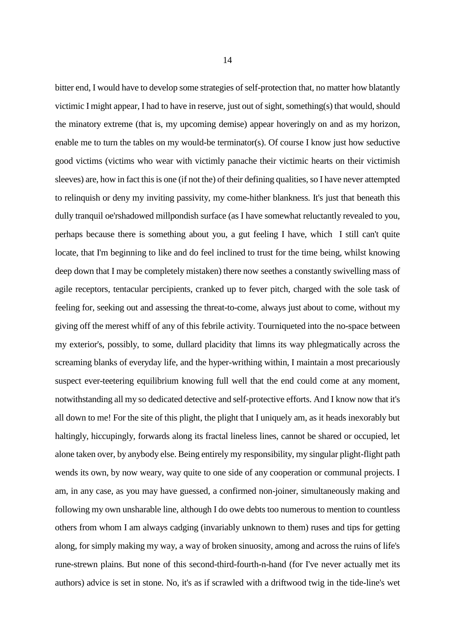bitter end, I would have to develop some strategies of self-protection that, no matter how blatantly victimic I might appear, I had to have in reserve, just out of sight, something(s) that would, should the minatory extreme (that is, my upcoming demise) appear hoveringly on and as my horizon, enable me to turn the tables on my would-be terminator(s). Of course I know just how seductive good victims (victims who wear with victimly panache their victimic hearts on their victimish sleeves) are, how in fact this is one (if not the) of their defining qualities, so I have never attempted to relinquish or deny my inviting passivity, my come-hither blankness. It's just that beneath this dully tranquil oe'rshadowed millpondish surface (as I have somewhat reluctantly revealed to you, perhaps because there is something about you, a gut feeling I have, which I still can't quite locate, that I'm beginning to like and do feel inclined to trust for the time being, whilst knowing deep down that I may be completely mistaken) there now seethes a constantly swivelling mass of agile receptors, tentacular percipients, cranked up to fever pitch, charged with the sole task of feeling for, seeking out and assessing the threat-to-come, always just about to come, without my giving off the merest whiff of any of this febrile activity. Tourniqueted into the no-space between my exterior's, possibly, to some, dullard placidity that limns its way phlegmatically across the screaming blanks of everyday life, and the hyper-writhing within, I maintain a most precariously suspect ever-teetering equilibrium knowing full well that the end could come at any moment, notwithstanding all my so dedicated detective and self-protective efforts. And I know now that it's all down to me! For the site of this plight, the plight that I uniquely am, as it heads inexorably but haltingly, hiccupingly, forwards along its fractal lineless lines, cannot be shared or occupied, let alone taken over, by anybody else. Being entirely my responsibility, my singular plight-flight path wends its own, by now weary, way quite to one side of any cooperation or communal projects. I am, in any case, as you may have guessed, a confirmed non-joiner, simultaneously making and following my own unsharable line, although I do owe debts too numerous to mention to countless others from whom I am always cadging (invariably unknown to them) ruses and tips for getting along, for simply making my way, a way of broken sinuosity, among and across the ruins of life's rune-strewn plains. But none of this second-third-fourth-n-hand (for I've never actually met its authors) advice is set in stone. No, it's as if scrawled with a driftwood twig in the tide-line's wet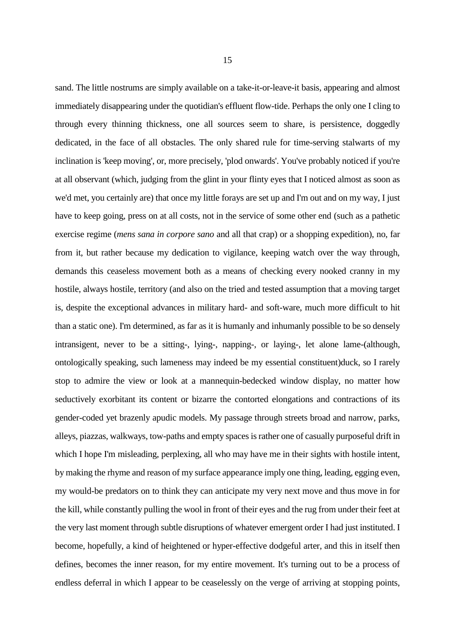sand. The little nostrums are simply available on a take-it-or-leave-it basis, appearing and almost immediately disappearing under the quotidian's effluent flow-tide. Perhaps the only one I cling to through every thinning thickness, one all sources seem to share, is persistence, doggedly dedicated, in the face of all obstacles. The only shared rule for time-serving stalwarts of my inclination is 'keep moving', or, more precisely, 'plod onwards'. You've probably noticed if you're at all observant (which, judging from the glint in your flinty eyes that I noticed almost as soon as we'd met, you certainly are) that once my little forays are set up and I'm out and on my way, I just have to keep going, press on at all costs, not in the service of some other end (such as a pathetic exercise regime (*mens sana in corpore sano* and all that crap) or a shopping expedition), no, far from it, but rather because my dedication to vigilance, keeping watch over the way through,

demands this ceaseless movement both as a means of checking every nooked cranny in my hostile, always hostile, territory (and also on the tried and tested assumption that a moving target is, despite the exceptional advances in military hard- and soft-ware, much more difficult to hit than a static one). I'm determined, as far as it is humanly and inhumanly possible to be so densely intransigent, never to be a sitting-, lying-, napping-, or laying-, let alone lame-(although, ontologically speaking, such lameness may indeed be my essential constituent)duck, so I rarely stop to admire the view or look at a mannequin-bedecked window display, no matter how seductively exorbitant its content or bizarre the contorted elongations and contractions of its gender-coded yet brazenly apudic models. My passage through streets broad and narrow, parks, alleys, piazzas, walkways, tow-paths and empty spaces is rather one of casually purposeful drift in which I hope I'm misleading, perplexing, all who may have me in their sights with hostile intent, by making the rhyme and reason of my surface appearance imply one thing, leading, egging even, my would-be predators on to think they can anticipate my very next move and thus move in for the kill, while constantly pulling the wool in front of their eyes and the rug from under their feet at the very last moment through subtle disruptions of whatever emergent order I had just instituted. I become, hopefully, a kind of heightened or hyper-effective dodgeful arter, and this in itself then defines, becomes the inner reason, for my entire movement. It's turning out to be a process of endless deferral in which I appear to be ceaselessly on the verge of arriving at stopping points,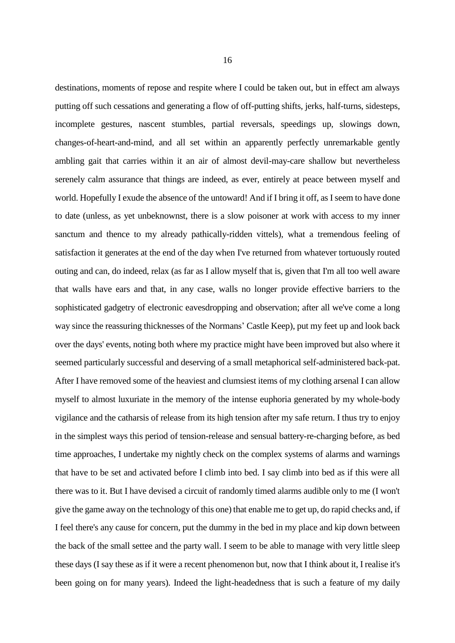destinations, moments of repose and respite where I could be taken out, but in effect am always putting off such cessations and generating a flow of off-putting shifts, jerks, half-turns, sidesteps, incomplete gestures, nascent stumbles, partial reversals, speedings up, slowings down, changes-of-heart-and-mind, and all set within an apparently perfectly unremarkable gently ambling gait that carries within it an air of almost devil-may-care shallow but nevertheless serenely calm assurance that things are indeed, as ever, entirely at peace between myself and world. Hopefully I exude the absence of the untoward! And if I bring it off, as I seem to have done to date (unless, as yet unbeknownst, there is a slow poisoner at work with access to my inner sanctum and thence to my already pathically-ridden vittels), what a tremendous feeling of satisfaction it generates at the end of the day when I've returned from whatever tortuously routed outing and can, do indeed, relax (as far as I allow myself that is, given that I'm all too well aware that walls have ears and that, in any case, walls no longer provide effective barriers to the sophisticated gadgetry of electronic eavesdropping and observation; after all we've come a long way since the reassuring thicknesses of the Normans' Castle Keep), put my feet up and look back over the days' events, noting both where my practice might have been improved but also where it seemed particularly successful and deserving of a small metaphorical self-administered back-pat. After I have removed some of the heaviest and clumsiest items of my clothing arsenal I can allow myself to almost luxuriate in the memory of the intense euphoria generated by my whole-body vigilance and the catharsis of release from its high tension after my safe return. I thus try to enjoy in the simplest ways this period of tension-release and sensual battery-re-charging before, as bed time approaches, I undertake my nightly check on the complex systems of alarms and warnings that have to be set and activated before I climb into bed. I say climb into bed as if this were all there was to it. But I have devised a circuit of randomly timed alarms audible only to me (I won't give the game away on the technology of this one) that enable me to get up, do rapid checks and, if I feel there's any cause for concern, put the dummy in the bed in my place and kip down between the back of the small settee and the party wall. I seem to be able to manage with very little sleep these days (I say these as if it were a recent phenomenon but, now that I think about it, I realise it's been going on for many years). Indeed the light-headedness that is such a feature of my daily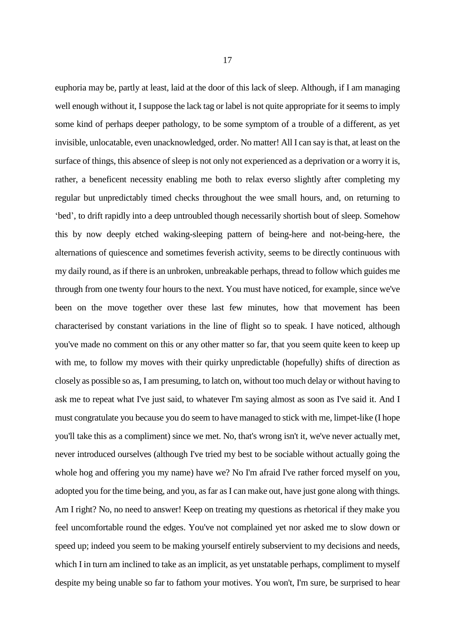euphoria may be, partly at least, laid at the door of this lack of sleep. Although, if I am managing well enough without it, I suppose the lack tag or label is not quite appropriate for it seems to imply some kind of perhaps deeper pathology, to be some symptom of a trouble of a different, as yet invisible, unlocatable, even unacknowledged, order. No matter! All I can say is that, at least on the surface of things, this absence of sleep is not only not experienced as a deprivation or a worry it is, rather, a beneficent necessity enabling me both to relax everso slightly after completing my regular but unpredictably timed checks throughout the wee small hours, and, on returning to 'bed', to drift rapidly into a deep untroubled though necessarily shortish bout of sleep. Somehow this by now deeply etched waking-sleeping pattern of being-here and not-being-here, the alternations of quiescence and sometimes feverish activity, seems to be directly continuous with my daily round, as if there is an unbroken, unbreakable perhaps, thread to follow which guides me through from one twenty four hours to the next. You must have noticed, for example, since we've been on the move together over these last few minutes, how that movement has been characterised by constant variations in the line of flight so to speak. I have noticed, although you've made no comment on this or any other matter so far, that you seem quite keen to keep up with me, to follow my moves with their quirky unpredictable (hopefully) shifts of direction as closely as possible so as, I am presuming, to latch on, without too much delay or without having to ask me to repeat what I've just said, to whatever I'm saying almost as soon as I've said it. And I must congratulate you because you do seem to have managed to stick with me, limpet-like (I hope you'll take this as a compliment) since we met. No, that's wrong isn't it, we've never actually met, never introduced ourselves (although I've tried my best to be sociable without actually going the whole hog and offering you my name) have we? No I'm afraid I've rather forced myself on you, adopted you for the time being, and you, as far as I can make out, have just gone along with things. Am I right? No, no need to answer! Keep on treating my questions as rhetorical if they make you feel uncomfortable round the edges. You've not complained yet nor asked me to slow down or

speed up; indeed you seem to be making yourself entirely subservient to my decisions and needs,

which I in turn am inclined to take as an implicit, as yet unstatable perhaps, compliment to myself

despite my being unable so far to fathom your motives. You won't, I'm sure, be surprised to hear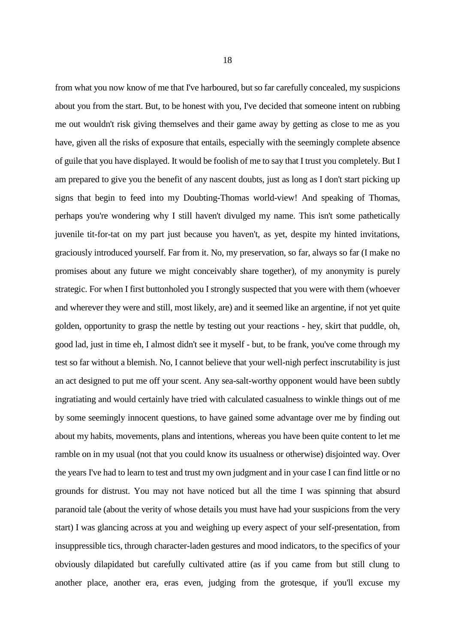about you from the start. But, to be honest with you, I've decided that someone intent on rubbing me out wouldn't risk giving themselves and their game away by getting as close to me as you have, given all the risks of exposure that entails, especially with the seemingly complete absence of guile that you have displayed. It would be foolish of me to say that I trust you completely. But I am prepared to give you the benefit of any nascent doubts, just as long as I don't start picking up signs that begin to feed into my Doubting-Thomas world-view! And speaking of Thomas, perhaps you're wondering why I still haven't divulged my name. This isn't some pathetically juvenile tit-for-tat on my part just because you haven't, as yet, despite my hinted invitations, graciously introduced yourself. Far from it. No, my preservation, so far, always so far (I make no promises about any future we might conceivably share together), of my anonymity is purely strategic. For when I first buttonholed you I strongly suspected that you were with them (whoever and wherever they were and still, most likely, are) and it seemed like an argentine, if not yet quite golden, opportunity to grasp the nettle by testing out your reactions - hey, skirt that puddle, oh, good lad, just in time eh, I almost didn't see it myself - but, to be frank, you've come through my test so far without a blemish. No, I cannot believe that your well-nigh perfect inscrutability is just an act designed to put me off your scent. Any sea-salt-worthy opponent would have been subtly ingratiating and would certainly have tried with calculated casualness to winkle things out of me by some seemingly innocent questions, to have gained some advantage over me by finding out about my habits, movements, plans and intentions, whereas you have been quite content to let me ramble on in my usual (not that you could know its usualness or otherwise) disjointed way. Over the years I've had to learn to test and trust my own judgment and in your case I can find little or no grounds for distrust. You may not have noticed but all the time I was spinning that absurd paranoid tale (about the verity of whose details you must have had your suspicions from the very start) I was glancing across at you and weighing up every aspect of your self-presentation, from insuppressible tics, through character-laden gestures and mood indicators, to the specifics of your obviously dilapidated but carefully cultivated attire (as if you came from but still clung to another place, another era, eras even, judging from the grotesque, if you'll excuse my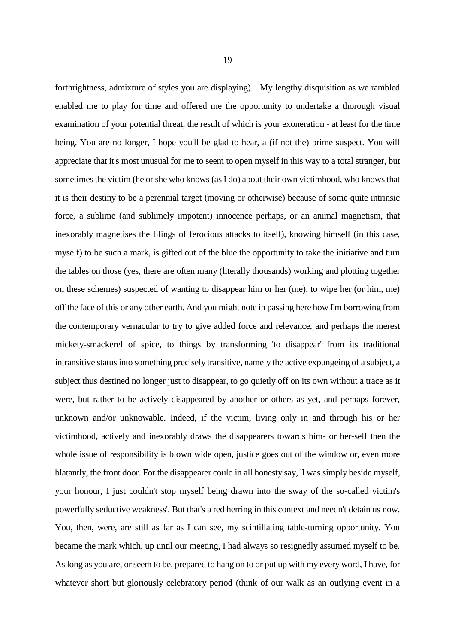forthrightness, admixture of styles you are displaying). My lengthy disquisition as we rambled enabled me to play for time and offered me the opportunity to undertake a thorough visual examination of your potential threat, the result of which is your exoneration - at least for the time being. You are no longer, I hope you'll be glad to hear, a (if not the) prime suspect. You will appreciate that it's most unusual for me to seem to open myself in this way to a total stranger, but sometimes the victim (he or she who knows (as I do) about their own victimhood, who knows that it is their destiny to be a perennial target (moving or otherwise) because of some quite intrinsic force, a sublime (and sublimely impotent) innocence perhaps, or an animal magnetism, that inexorably magnetises the filings of ferocious attacks to itself), knowing himself (in this case, myself) to be such a mark, is gifted out of the blue the opportunity to take the initiative and turn the tables on those (yes, there are often many (literally thousands) working and plotting together on these schemes) suspected of wanting to disappear him or her (me), to wipe her (or him, me) off the face of this or any other earth. And you might note in passing here how I'm borrowing from the contemporary vernacular to try to give added force and relevance, and perhaps the merest mickety-smackerel of spice, to things by transforming 'to disappear' from its traditional intransitive status into something precisely transitive, namely the active expungeing of a subject, a subject thus destined no longer just to disappear, to go quietly off on its own without a trace as it were, but rather to be actively disappeared by another or others as yet, and perhaps forever, unknown and/or unknowable. Indeed, if the victim, living only in and through his or her victimhood, actively and inexorably draws the disappearers towards him- or her-self then the whole issue of responsibility is blown wide open, justice goes out of the window or, even more blatantly, the front door. For the disappearer could in all honesty say, 'I was simply beside myself, your honour, I just couldn't stop myself being drawn into the sway of the so-called victim's powerfully seductive weakness'. But that's a red herring in this context and needn't detain us now. You, then, were, are still as far as I can see, my scintillating table-turning opportunity. You became the mark which, up until our meeting, I had always so resignedly assumed myself to be. As long as you are, or seem to be, prepared to hang on to or put up with my every word, I have, for whatever short but gloriously celebratory period (think of our walk as an outlying event in a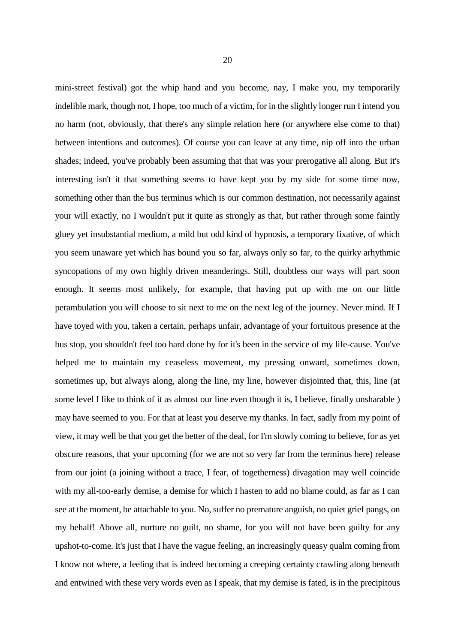mini-street festival) got the whip hand and you become, nay, I make you, my temporarily indelible mark, though not, I hope, too much of a victim, for in the slightly longer run I intend you no harm (not, obviously, that there's any simple relation here (or anywhere else come to that) between intentions and outcomes). Of course you can leave at any time, nip off into the urban shades; indeed, you've probably been assuming that that was your prerogative all along. But it's interesting isn't it that something seems to have kept you by my side for some time now, something other than the bus terminus which is our common destination, not necessarily against your will exactly, no I wouldn't put it quite as strongly as that, but rather through some faintly gluey yet insubstantial medium, a mild but odd kind of hypnosis, a temporary fixative, of which you seem unaware yet which has bound you so far, always only so far, to the quirky arhythmic syncopations of my own highly driven meanderings. Still, doubtless our ways will part soon enough. It seems most unlikely, for example, that having put up with me on our little perambulation you will choose to sit next to me on the next leg of the journey. Never mind. If I have toyed with you, taken a certain, perhaps unfair, advantage of your fortuitous presence at the bus stop, you shouldn't feel too hard done by for it's been in the service of my life-cause. You've helped me to maintain my ceaseless movement, my pressing onward, sometimes down, sometimes up, but always along, along the line, my line, however disjointed that, this, line (at some level I like to think of it as almost our line even though it is, I believe, finally unsharable ) may have seemed to you. For that at least you deserve my thanks. In fact, sadly from my point of view, it may well be that you get the better of the deal, for I'm slowly coming to believe, for as yet obscure reasons, that your upcoming (for we are not so very far from the terminus here) release from our joint (a joining without a trace, I fear, of togetherness) divagation may well coincide with my all-too-early demise, a demise for which I hasten to add no blame could, as far as I can see at the moment, be attachable to you. No, suffer no premature anguish, no quiet grief pangs, on my behalf! Above all, nurture no guilt, no shame, for you will not have been guilty for any upshot-to-come. It's just that I have the vague feeling, an increasingly queasy qualm coming from I know not where, a feeling that is indeed becoming a creeping certainty crawling along beneath and entwined with these very words even as I speak, that my demise is fated, is in the precipitous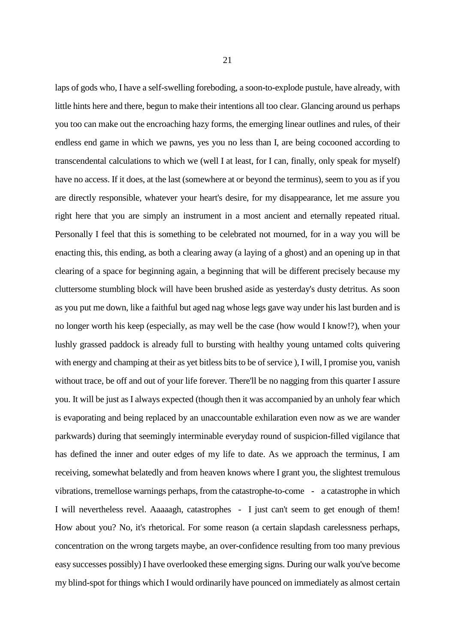laps of gods who, I have a self-swelling foreboding, a soon-to-explode pustule, have already, with little hints here and there, begun to make their intentions all too clear. Glancing around us perhaps you too can make out the encroaching hazy forms, the emerging linear outlines and rules, of their endless end game in which we pawns, yes you no less than I, are being cocooned according to transcendental calculations to which we (well I at least, for I can, finally, only speak for myself) have no access. If it does, at the last (somewhere at or beyond the terminus), seem to you as if you are directly responsible, whatever your heart's desire, for my disappearance, let me assure you right here that you are simply an instrument in a most ancient and eternally repeated ritual. Personally I feel that this is something to be celebrated not mourned, for in a way you will be enacting this, this ending, as both a clearing away (a laying of a ghost) and an opening up in that clearing of a space for beginning again, a beginning that will be different precisely because my cluttersome stumbling block will have been brushed aside as yesterday's dusty detritus. As soon as you put me down, like a faithful but aged nag whose legs gave way under his last burden and is no longer worth his keep (especially, as may well be the case (how would I know!?), when your lushly grassed paddock is already full to bursting with healthy young untamed colts quivering with energy and champing at their as yet bitless bits to be of service ), I will, I promise you, vanish without trace, be off and out of your life forever. There'll be no nagging from this quarter I assure you. It will be just as I always expected (though then it was accompanied by an unholy fear which is evaporating and being replaced by an unaccountable exhilaration even now as we are wander parkwards) during that seemingly interminable everyday round of suspicion-filled vigilance that has defined the inner and outer edges of my life to date. As we approach the terminus, I am receiving, somewhat belatedly and from heaven knows where I grant you, the slightest tremulous vibrations, tremellose warnings perhaps, from the catastrophe-to-come - a catastrophe in which I will nevertheless revel. Aaaaagh, catastrophes - I just can't seem to get enough of them! How about you? No, it's rhetorical. For some reason (a certain slapdash carelessness perhaps, concentration on the wrong targets maybe, an over-confidence resulting from too many previous easy successes possibly) I have overlooked these emerging signs. During our walk you've become my blind-spot for things which I would ordinarily have pounced on immediately as almost certain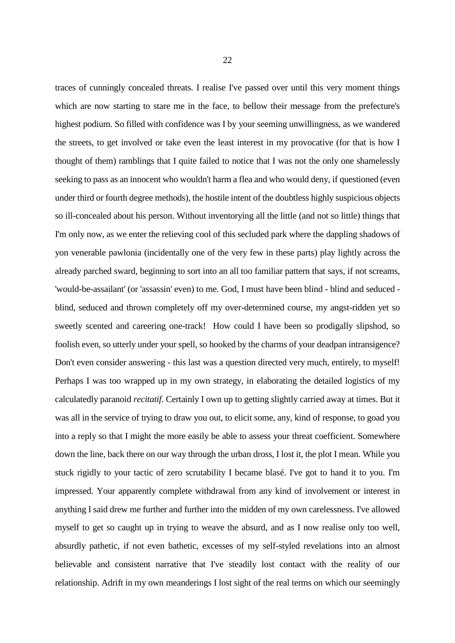traces of cunningly concealed threats. I realise I've passed over until this very moment things which are now starting to stare me in the face, to bellow their message from the prefecture's highest podium. So filled with confidence was I by your seeming unwillingness, as we wandered the streets, to get involved or take even the least interest in my provocative (for that is how I thought of them) ramblings that I quite failed to notice that I was not the only one shamelessly seeking to pass as an innocent who wouldn't harm a flea and who would deny, if questioned (even under third or fourth degree methods), the hostile intent of the doubtless highly suspicious objects so ill-concealed about his person. Without inventorying all the little (and not so little) things that I'm only now, as we enter the relieving cool of this secluded park where the dappling shadows of yon venerable pawlonia (incidentally one of the very few in these parts) play lightly across the already parched sward, beginning to sort into an all too familiar pattern that says, if not screams, 'would-be-assailant' (or 'assassin' even) to me. God, I must have been blind - blind and seduced blind, seduced and thrown completely off my over-determined course, my angst-ridden yet so sweetly scented and careering one-track! How could I have been so prodigally slipshod, so foolish even, so utterly under your spell, so hooked by the charms of your deadpan intransigence? Don't even consider answering - this last was a question directed very much, entirely, to myself! Perhaps I was too wrapped up in my own strategy, in elaborating the detailed logistics of my calculatedly paranoid *recitatif*. Certainly I own up to getting slightly carried away at times. But it was all in the service of trying to draw you out, to elicit some, any, kind of response, to goad you into a reply so that I might the more easily be able to assess your threat coefficient. Somewhere down the line, back there on our way through the urban dross, I lost it, the plot I mean. While you stuck rigidly to your tactic of zero scrutability I became blasé. I've got to hand it to you. I'm impressed. Your apparently complete withdrawal from any kind of involvement or interest in anything I said drew me further and further into the midden of my own carelessness. I've allowed myself to get so caught up in trying to weave the absurd, and as I now realise only too well, absurdly pathetic, if not even bathetic, excesses of my self-styled revelations into an almost believable and consistent narrative that I've steadily lost contact with the reality of our relationship. Adrift in my own meanderings I lost sight of the real terms on which our seemingly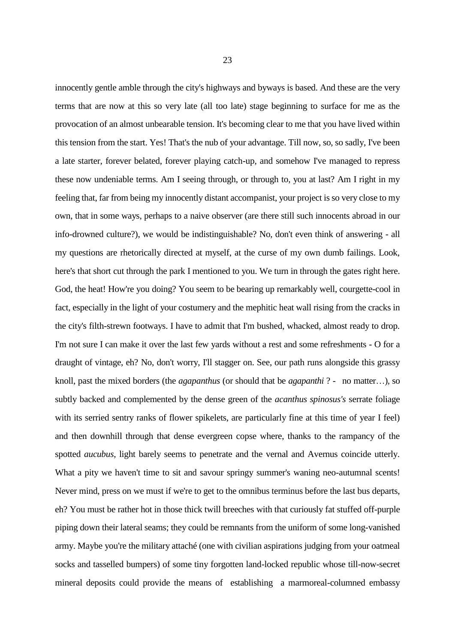innocently gentle amble through the city's highways and byways is based. And these are the very terms that are now at this so very late (all too late) stage beginning to surface for me as the provocation of an almost unbearable tension. It's becoming clear to me that you have lived within

this tension from the start. Yes! That's the nub of your advantage. Till now, so, so sadly, I've been a late starter, forever belated, forever playing catch-up, and somehow I've managed to repress these now undeniable terms. Am I seeing through, or through to, you at last? Am I right in my feeling that, far from being my innocently distant accompanist, your project is so very close to my own, that in some ways, perhaps to a naive observer (are there still such innocents abroad in our info-drowned culture?), we would be indistinguishable? No, don't even think of answering - all my questions are rhetorically directed at myself, at the curse of my own dumb failings. Look, here's that short cut through the park I mentioned to you. We turn in through the gates right here. God, the heat! How're you doing? You seem to be bearing up remarkably well, courgette-cool in fact, especially in the light of your costumery and the mephitic heat wall rising from the cracks in the city's filth-strewn footways. I have to admit that I'm bushed, whacked, almost ready to drop. I'm not sure I can make it over the last few yards without a rest and some refreshments - O for a draught of vintage, eh? No, don't worry, I'll stagger on. See, our path runs alongside this grassy knoll, past the mixed borders (the *agapanthus* (or should that be *agapanthi* ? - no matter…), so subtly backed and complemented by the dense green of the *acanthus spinosus's* serrate foliage with its serried sentry ranks of flower spikelets, are particularly fine at this time of year I feel) and then downhill through that dense evergreen copse where, thanks to the rampancy of the spotted *aucubus*, light barely seems to penetrate and the vernal and Avernus coincide utterly. What a pity we haven't time to sit and savour springy summer's waning neo-autumnal scents! Never mind, press on we must if we're to get to the omnibus terminus before the last bus departs, eh? You must be rather hot in those thick twill breeches with that curiously fat stuffed off-purple piping down their lateral seams; they could be remnants from the uniform of some long-vanished army. Maybe you're the military attaché (one with civilian aspirations judging from your oatmeal socks and tasselled bumpers) of some tiny forgotten land-locked republic whose till-now-secret mineral deposits could provide the means of establishing a marmoreal-columned embassy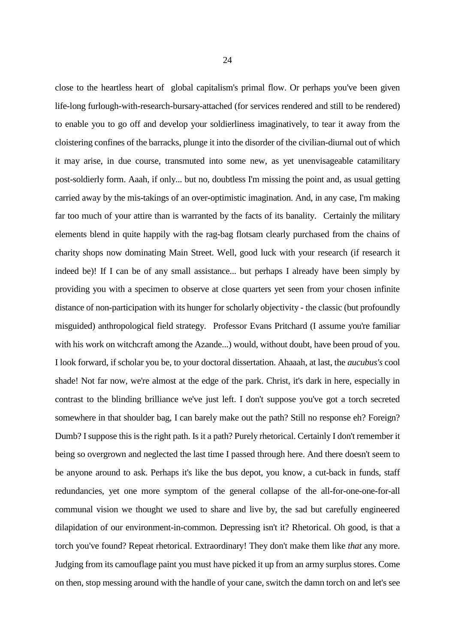close to the heartless heart of global capitalism's primal flow. Or perhaps you've been given life-long furlough-with-research-bursary-attached (for services rendered and still to be rendered) to enable you to go off and develop your soldierliness imaginatively, to tear it away from the cloistering confines of the barracks, plunge it into the disorder of the civilian-diurnal out of which it may arise, in due course, transmuted into some new, as yet unenvisageable catamilitary post-soldierly form. Aaah, if only... but no, doubtless I'm missing the point and, as usual getting carried away by the mis-takings of an over-optimistic imagination. And, in any case, I'm making far too much of your attire than is warranted by the facts of its banality. Certainly the military elements blend in quite happily with the rag-bag flotsam clearly purchased from the chains of charity shops now dominating Main Street. Well, good luck with your research (if research it indeed be)! If I can be of any small assistance... but perhaps I already have been simply by providing you with a specimen to observe at close quarters yet seen from your chosen infinite distance of non-participation with its hunger for scholarly objectivity - the classic (but profoundly misguided) anthropological field strategy. Professor Evans Pritchard (I assume you're familiar with his work on witchcraft among the Azande...) would, without doubt, have been proud of you. I look forward, if scholar you be, to your doctoral dissertation. Ahaaah, at last, the *aucubus's* cool shade! Not far now, we're almost at the edge of the park. Christ, it's dark in here, especially in contrast to the blinding brilliance we've just left. I don't suppose you've got a torch secreted somewhere in that shoulder bag, I can barely make out the path? Still no response eh? Foreign? Dumb? I suppose this is the right path. Is it a path? Purely rhetorical. Certainly I don't remember it being so overgrown and neglected the last time I passed through here. And there doesn't seem to be anyone around to ask. Perhaps it's like the bus depot, you know, a cut-back in funds, staff redundancies, yet one more symptom of the general collapse of the all-for-one-one-for-all communal vision we thought we used to share and live by, the sad but carefully engineered dilapidation of our environment-in-common. Depressing isn't it? Rhetorical. Oh good, is that a torch you've found? Repeat rhetorical. Extraordinary! They don't make them like *that* any more. Judging from its camouflage paint you must have picked it up from an army surplus stores. Come on then, stop messing around with the handle of your cane, switch the damn torch on and let's see